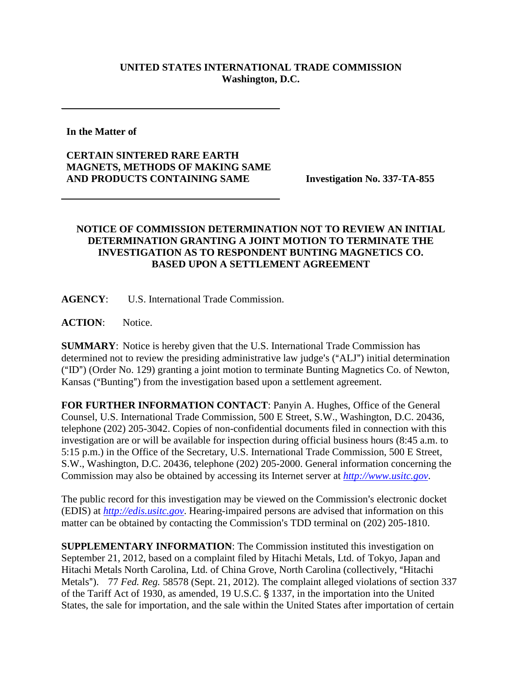## **UNITED STATES INTERNATIONAL TRADE COMMISSION Washington, D.C.**

**In the Matter of** 

**CERTAIN SINTERED RARE EARTH MAGNETS, METHODS OF MAKING SAME AND PRODUCTS CONTAINING SAME Investigation No. 337-TA-855**

## **NOTICE OF COMMISSION DETERMINATION NOT TO REVIEW AN INITIAL DETERMINATION GRANTING A JOINT MOTION TO TERMINATE THE INVESTIGATION AS TO RESPONDENT BUNTING MAGNETICS CO. BASED UPON A SETTLEMENT AGREEMENT**

**AGENCY**: U.S. International Trade Commission.

**ACTION**: Notice.

**SUMMARY**: Notice is hereby given that the U.S. International Trade Commission has determined not to review the presiding administrative law judge's ("ALJ") initial determination  $(HD<sup>n</sup>)$  (Order No. 129) granting a joint motion to terminate Bunting Magnetics Co. of Newton, Kansas ("Bunting") from the investigation based upon a settlement agreement.

**FOR FURTHER INFORMATION CONTACT**: Panyin A. Hughes, Office of the General Counsel, U.S. International Trade Commission, 500 E Street, S.W., Washington, D.C. 20436, telephone (202) 205-3042. Copies of non-confidential documents filed in connection with this investigation are or will be available for inspection during official business hours (8:45 a.m. to 5:15 p.m.) in the Office of the Secretary, U.S. International Trade Commission, 500 E Street, S.W., Washington, D.C. 20436, telephone (202) 205-2000. General information concerning the Commission may also be obtained by accessing its Internet server at *[http://www.usitc.gov](http://www.usitc.gov/)*.

The public record for this investigation may be viewed on the Commission's electronic docket (EDIS) at *[http://edis.usitc.gov](http://edis.usitc.gov/)*. Hearing-impaired persons are advised that information on this matter can be obtained by contacting the Commission's TDD terminal on  $(202)$  205-1810.

**SUPPLEMENTARY INFORMATION**: The Commission instituted this investigation on September 21, 2012, based on a complaint filed by Hitachi Metals, Ltd. of Tokyo, Japan and Hitachi Metals North Carolina, Ltd. of China Grove, North Carolina (collectively, "Hitachi Metals"). 77 *Fed. Reg.* 58578 (Sept. 21, 2012). The complaint alleged violations of section 337 of the Tariff Act of 1930, as amended, 19 U.S.C. § 1337, in the importation into the United States, the sale for importation, and the sale within the United States after importation of certain